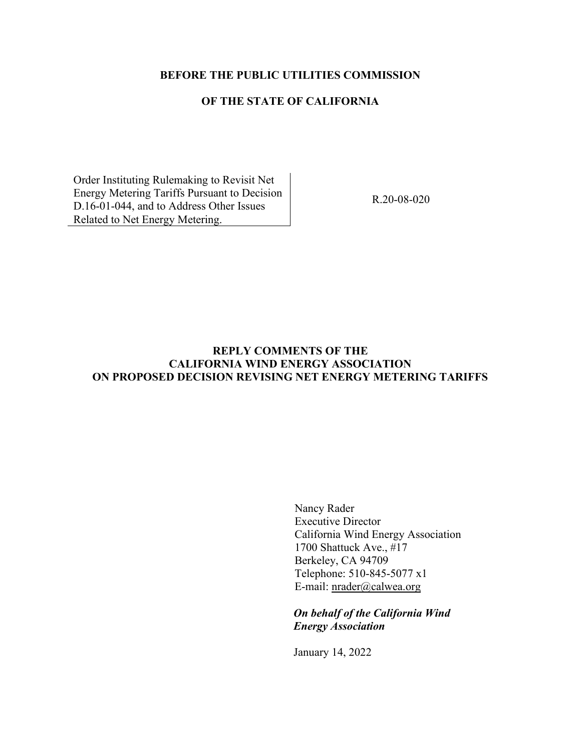## **BEFORE THE PUBLIC UTILITIES COMMISSION**

## **OF THE STATE OF CALIFORNIA**

Order Instituting Rulemaking to Revisit Net Energy Metering Tariffs Pursuant to Decision D.16-01-044, and to Address Other Issues Related to Net Energy Metering.

R.20-08-020

# **REPLY COMMENTS OF THE CALIFORNIA WIND ENERGY ASSOCIATION ON PROPOSED DECISION REVISING NET ENERGY METERING TARIFFS**

Nancy Rader Executive Director California Wind Energy Association 1700 Shattuck Ave., #17 Berkeley, CA 94709 Telephone: 510-845-5077 x1 E-mail: [nrader@calwea.org](mailto:nrader@calwea.org)

*On behalf of the California Wind Energy Association*

January 14, 2022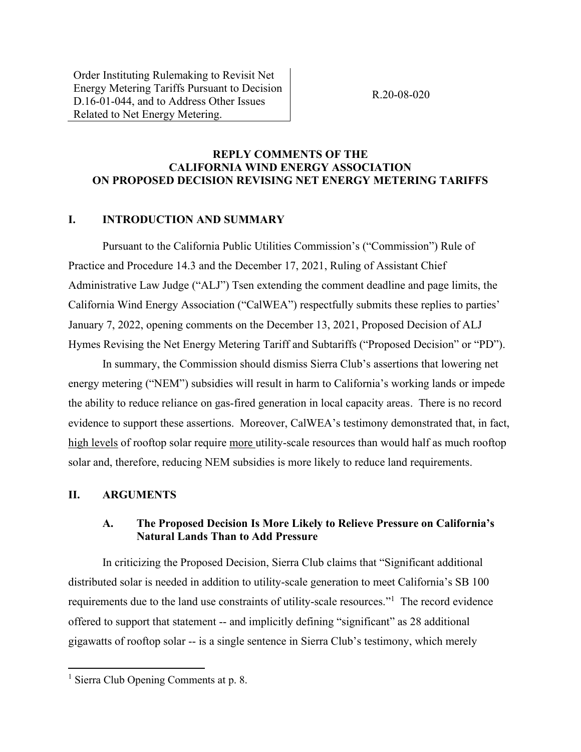Order Instituting Rulemaking to Revisit Net Energy Metering Tariffs Pursuant to Decision D.16-01-044, and to Address Other Issues Related to Net Energy Metering.

R.20-08-020

## **REPLY COMMENTS OF THE CALIFORNIA WIND ENERGY ASSOCIATION ON PROPOSED DECISION REVISING NET ENERGY METERING TARIFFS**

#### **I. INTRODUCTION AND SUMMARY**

Pursuant to the California Public Utilities Commission's ("Commission") Rule of Practice and Procedure 14.3 and the December 17, 2021, Ruling of Assistant Chief Administrative Law Judge ("ALJ") Tsen extending the comment deadline and page limits, the California Wind Energy Association ("CalWEA") respectfully submits these replies to parties' January 7, 2022, opening comments on the December 13, 2021, Proposed Decision of ALJ Hymes Revising the Net Energy Metering Tariff and Subtariffs ("Proposed Decision" or "PD").

In summary, the Commission should dismiss Sierra Club's assertions that lowering net energy metering ("NEM") subsidies will result in harm to California's working lands or impede the ability to reduce reliance on gas-fired generation in local capacity areas. There is no record evidence to support these assertions. Moreover, CalWEA's testimony demonstrated that, in fact, high levels of rooftop solar require more utility-scale resources than would half as much rooftop solar and, therefore, reducing NEM subsidies is more likely to reduce land requirements.

#### **II. ARGUMENTS**

## **A. The Proposed Decision Is More Likely to Relieve Pressure on California's Natural Lands Than to Add Pressure**

In criticizing the Proposed Decision, Sierra Club claims that "Significant additional distributed solar is needed in addition to utility-scale generation to meet California's SB 100 requirements due to the land use constraints of utility-scale resources."<sup>1</sup> The record evidence offered to support that statement -- and implicitly defining "significant" as 28 additional gigawatts of rooftop solar -- is a single sentence in Sierra Club's testimony, which merely

<sup>&</sup>lt;sup>1</sup> Sierra Club Opening Comments at p. 8.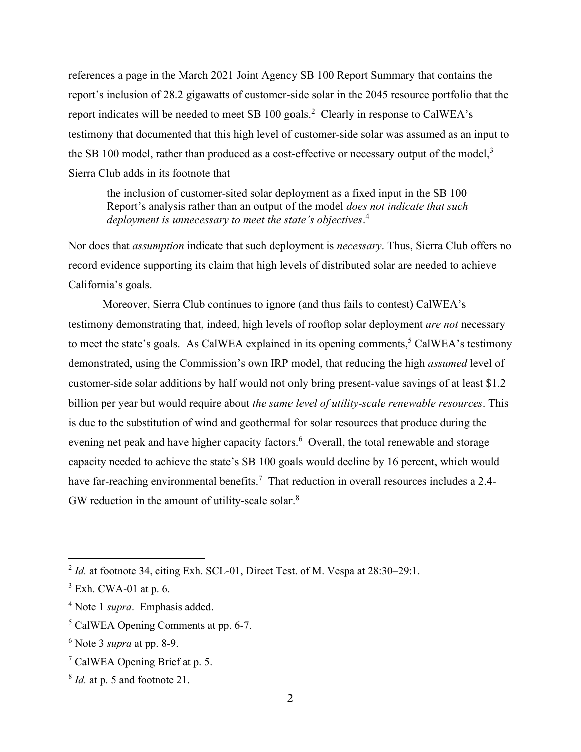references a page in the March 2021 Joint Agency SB 100 Report Summary that contains the report's inclusion of 28.2 gigawatts of customer-side solar in the 2045 resource portfolio that the report indicates will be needed to meet SB 100 goals.<sup>2</sup> Clearly in response to CalWEA's testimony that documented that this high level of customer-side solar was assumed as an input to the SB 100 model, rather than produced as a cost-effective or necessary output of the model, $3$ Sierra Club adds in its footnote that

the inclusion of customer-sited solar deployment as a fixed input in the SB 100 Report's analysis rather than an output of the model *does not indicate that such deployment is unnecessary to meet the state's objectives*. 4

Nor does that *assumption* indicate that such deployment is *necessary*. Thus, Sierra Club offers no record evidence supporting its claim that high levels of distributed solar are needed to achieve California's goals.

Moreover, Sierra Club continues to ignore (and thus fails to contest) CalWEA's testimony demonstrating that, indeed, high levels of rooftop solar deployment *are not* necessary to meet the state's goals. As CalWEA explained in its opening comments,<sup>5</sup> CalWEA's testimony demonstrated, using the Commission's own IRP model, that reducing the high *assumed* level of customer-side solar additions by half would not only bring present-value savings of at least \$1.2 billion per year but would require about *the same level of utility-scale renewable resources*. This is due to the substitution of wind and geothermal for solar resources that produce during the evening net peak and have higher capacity factors.<sup>6</sup> Overall, the total renewable and storage capacity needed to achieve the state's SB 100 goals would decline by 16 percent, which would have far-reaching environmental benefits.<sup>7</sup> That reduction in overall resources includes a 2.4-GW reduction in the amount of utility-scale solar. $8$ 

<sup>&</sup>lt;sup>2</sup> Id. at footnote 34, citing Exh. SCL-01, Direct Test. of M. Vespa at 28:30–29:1.

 $3$  Exh. CWA-01 at p. 6.

<sup>4</sup> Note 1 *supra*. Emphasis added.

<sup>5</sup> CalWEA Opening Comments at pp. 6-7.

<sup>6</sup> Note 3 *supra* at pp. 8-9.

<sup>&</sup>lt;sup>7</sup> CalWEA Opening Brief at p. 5.

<sup>8</sup> *Id.* at p. 5 and footnote 21.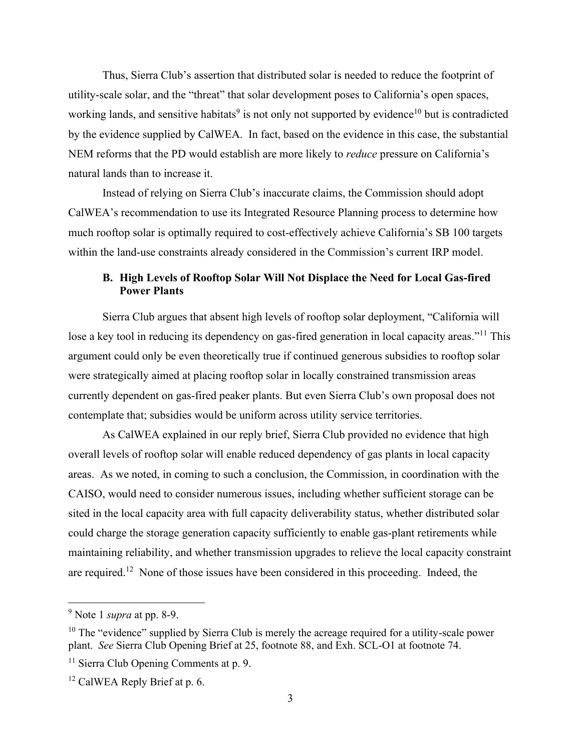Thus, Sierra Club's assertion that distributed solar is needed to reduce the footprint of utility-scale solar, and the "threat" that solar development poses to California's open spaces, working lands, and sensitive habitats<sup>9</sup> is not only not supported by evidence<sup>10</sup> but is contradicted by the evidence supplied by CalWEA. In fact, based on the evidence in this case, the substantial NEM reforms that the PD would establish are more likely to *reduce* pressure on California's natural lands than to increase it.

Instead of relying on Sierra Club's inaccurate claims, the Commission should adopt CalWEA's recommendation to use its Integrated Resource Planning process to determine how much rooftop solar is optimally required to cost-effectively achieve California's SB 100 targets within the land-use constraints already considered in the Commission's current IRP model.

# **B. High Levels of Rooftop Solar Will Not Displace the Need for Local Gas-fired Power Plants**

Sierra Club argues that absent high levels of rooftop solar deployment, "California will lose a key tool in reducing its dependency on gas-fired generation in local capacity areas."<sup>11</sup> This argument could only be even theoretically true if continued generous subsidies to rooftop solar were strategically aimed at placing rooftop solar in locally constrained transmission areas currently dependent on gas-fired peaker plants. But even Sierra Club's own proposal does not contemplate that; subsidies would be uniform across utility service territories.

As CalWEA explained in our reply brief, Sierra Club provided no evidence that high overall levels of rooftop solar will enable reduced dependency of gas plants in local capacity areas. As we noted, in coming to such a conclusion, the Commission, in coordination with the CAISO, would need to consider numerous issues, including whether sufficient storage can be sited in the local capacity area with full capacity deliverability status, whether distributed solar could charge the storage generation capacity sufficiently to enable gas-plant retirements while maintaining reliability, and whether transmission upgrades to relieve the local capacity constraint are required.<sup>12</sup> None of those issues have been considered in this proceeding. Indeed, the

<sup>9</sup> Note 1 *supra* at pp. 8-9.

 $10$  The "evidence" supplied by Sierra Club is merely the acreage required for a utility-scale power plant. *See* Sierra Club Opening Brief at 25, footnote 88, and Exh. SCL-O1 at footnote 74.

<sup>&</sup>lt;sup>11</sup> Sierra Club Opening Comments at p. 9.

<sup>&</sup>lt;sup>12</sup> CalWEA Reply Brief at p. 6.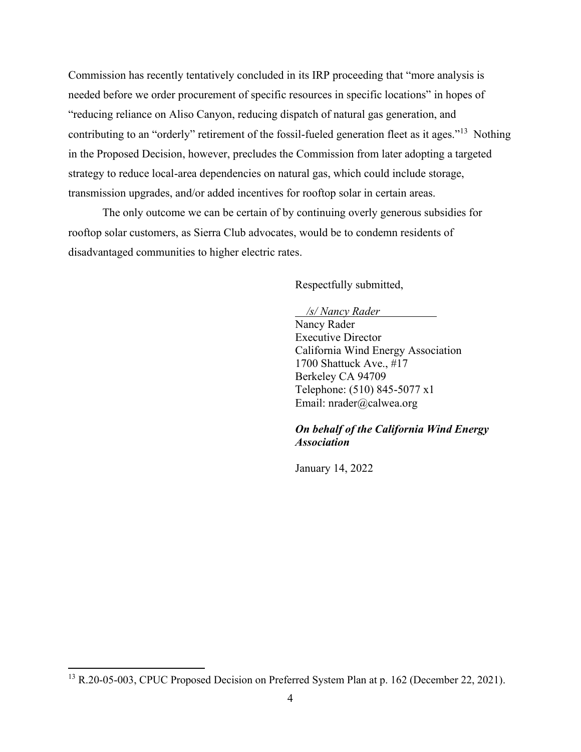Commission has recently tentatively concluded in its IRP proceeding that "more analysis is needed before we order procurement of specific resources in specific locations" in hopes of "reducing reliance on Aliso Canyon, reducing dispatch of natural gas generation, and contributing to an "orderly" retirement of the fossil-fueled generation fleet as it ages."<sup>13</sup> Nothing in the Proposed Decision, however, precludes the Commission from later adopting a targeted strategy to reduce local-area dependencies on natural gas, which could include storage, transmission upgrades, and/or added incentives for rooftop solar in certain areas.

The only outcome we can be certain of by continuing overly generous subsidies for rooftop solar customers, as Sierra Club advocates, would be to condemn residents of disadvantaged communities to higher electric rates.

Respectfully submitted,

#### */s/ Nancy Rader*

Nancy Rader Executive Director California Wind Energy Association 1700 Shattuck Ave., #17 Berkeley CA 94709 Telephone: (510) 845-5077 x1 Email: nrader@calwea.org

#### *On behalf of the California Wind Energy Association*

January 14, 2022

<sup>&</sup>lt;sup>13</sup> R.20-05-003, CPUC Proposed Decision on Preferred System Plan at p. 162 (December 22, 2021).